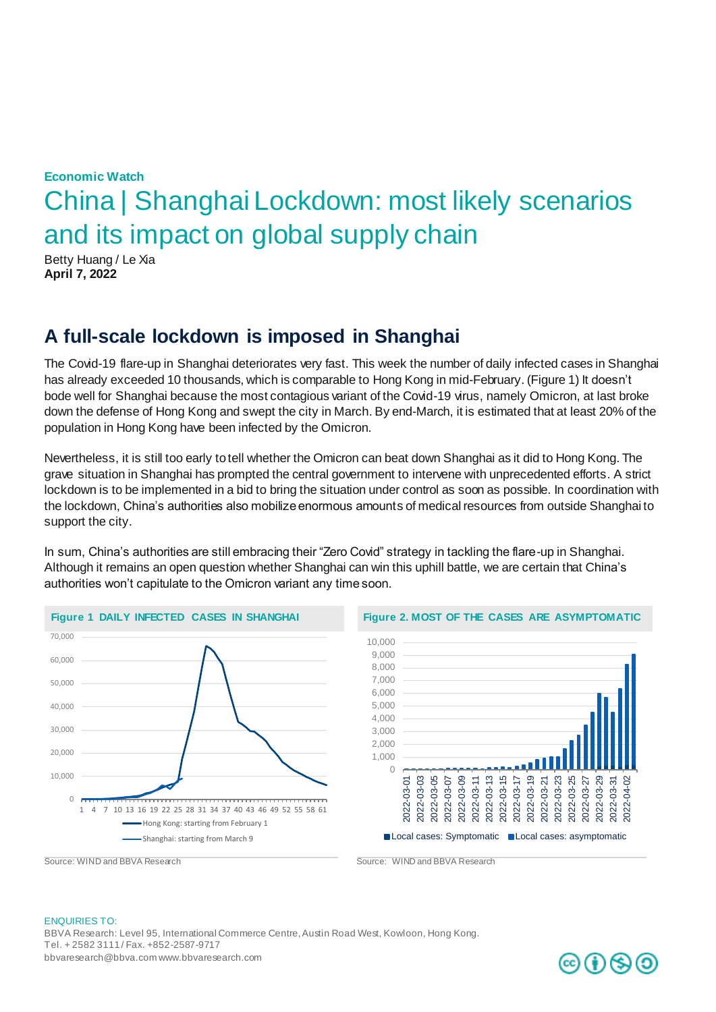# **Economic Watch** China | Shanghai Lockdown: most likely scenarios and its impact on global supply chain

Betty Huang / Le Xia **April 7, 2022**

### **A full-scale lockdown is imposed in Shanghai**

The Covid-19 flare-up in Shanghai deteriorates very fast. This week the number of daily infected cases in Shanghai has already exceeded 10 thousands, which is comparable to Hong Kong in mid-February. (Figure 1) It doesn't bode well for Shanghai because the most contagious variant of the Covid-19 virus, namely Omicron, at last broke down the defense of Hong Kong and swept the city in March. By end-March, it is estimated that at least 20% of the population in Hong Kong have been infected by the Omicron.

Nevertheless, it is still too early to tell whether the Omicron can beat down Shanghai as it did to Hong Kong. The grave situation in Shanghai has prompted the central government to intervene with unprecedented efforts. A strict lockdown is to be implemented in a bid to bring the situation under control as soon as possible. In coordination with the lockdown, China's authorities also mobilize enormous amounts of medical resources from outside Shanghai to support the city.

In sum, China's authorities are still embracing their "Zero Covid" strategy in tackling the flare-up in Shanghai. Although it remains an open question whether Shanghai can win this uphill battle, we are certain that China's authorities won't capitulate to the Omicron variant any time soon.





Source: WIND and BBVA Research Source: WIND and BBVA Research

#### ENQUIRIES TO:

BBVA Research: Level 95, International Commerce Centre, Austin Road West, Kowloon, Hong Kong. Tel. + 2582 3111 / Fax. +852-2587-9717 bbvaresearch@bbva.com www.bbvaresearch.com

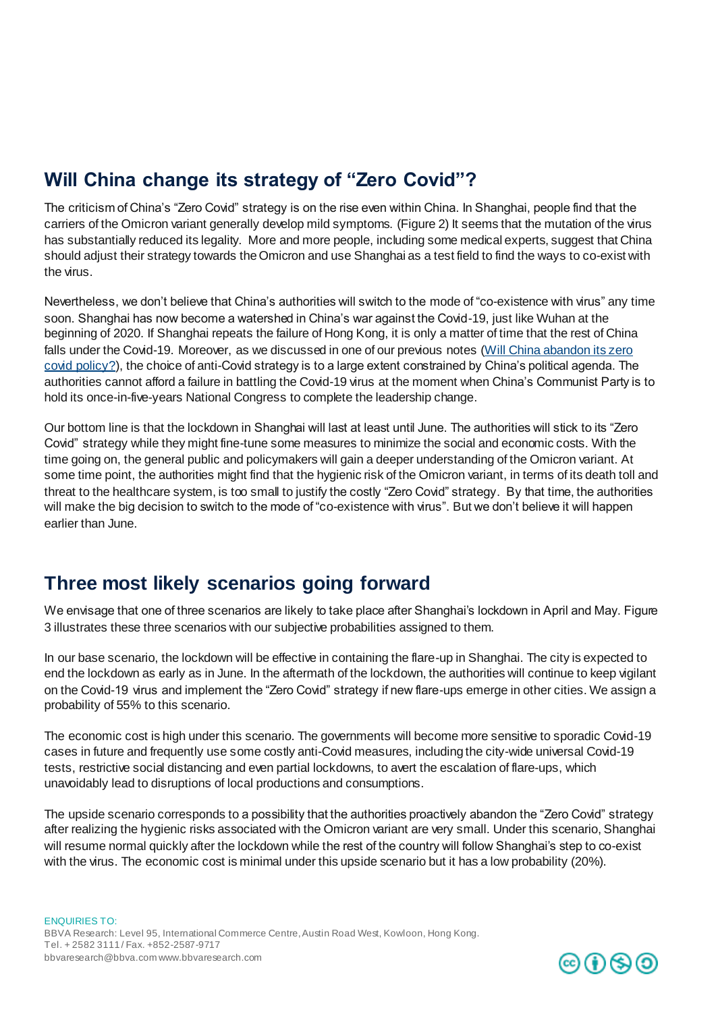## **Will China change its strategy of "Zero Covid"?**

The criticism of China's "Zero Covid" strategy is on the rise even within China. In Shanghai, people find that the carriers of the Omicron variant generally develop mild symptoms. (Figure 2) It seems that the mutation of the virus has substantially reduced its legality. More and more people, including some medical experts, suggest that China should adjust their strategy towards the Omicron and use Shanghai as a test field to find the ways to co-exist with the virus.

Nevertheless, we don't believe that China's authorities will switch to the mode of "co-existence with virus" any time soon. Shanghai has now become a watershed in China's war against the Covid-19, just like Wuhan at the beginning of 2020. If Shanghai repeats the failure of Hong Kong, it is only a matter of time that the rest of China falls under the Covid-19. Moreover, as we discussed in one of our previous notes [\(Will China abandon its zero](https://www.bbvaresearch.com/en/publicaciones/china-will-the-country-abandon-zero-tolerance-on-covid-19/)  [covid policy?](https://www.bbvaresearch.com/en/publicaciones/china-will-the-country-abandon-zero-tolerance-on-covid-19/)), the choice of anti-Covid strategy is to a large extent constrained by China's political agenda. The authorities cannot afford a failure in battling the Covid-19 virus at the moment when China's Communist Party is to hold its once-in-five-years National Congress to complete the leadership change.

Our bottom line is that the lockdown in Shanghai will last at least until June. The authorities will stick to its "Zero Covid" strategy while they might fine-tune some measures to minimize the social and economic costs. With the time going on, the general public and policymakers will gain a deeper understanding of the Omicron variant. At some time point, the authorities might find that the hygienic risk of the Omicron variant, in terms of its death toll and threat to the healthcare system, is too small to justify the costly "Zero Covid" strategy. By that time, the authorities will make the big decision to switch to the mode of "co-existence with virus". But we don't believe it will happen earlier than June.

### **Three most likely scenarios going forward**

We envisage that one of three scenarios are likely to take place after Shanghai's lockdown in April and May. Figure 3 illustrates these three scenarios with our subjective probabilities assigned to them.

In our base scenario, the lockdown will be effective in containing the flare-up in Shanghai. The city is expected to end the lockdown as early as in June. In the aftermath of the lockdown, the authorities will continue to keep vigilant on the Covid-19 virus and implement the "Zero Covid" strategy if new flare-ups emerge in other cities. We assign a probability of 55% to this scenario.

The economic cost is high under this scenario. The governments will become more sensitive to sporadic Covid-19 cases in future and frequently use some costly anti-Covid measures, including the city-wide universal Covid-19 tests, restrictive social distancing and even partial lockdowns, to avert the escalation of flare-ups, which unavoidably lead to disruptions of local productions and consumptions.

The upside scenario corresponds to a possibility that the authorities proactively abandon the "Zero Covid" strategy after realizing the hygienic risks associated with the Omicron variant are very small. Under this scenario, Shanghai will resume normal quickly after the lockdown while the rest of the country will follow Shanghai's step to co-exist with the virus. The economic cost is minimal under this upside scenario but it has a low probability (20%).

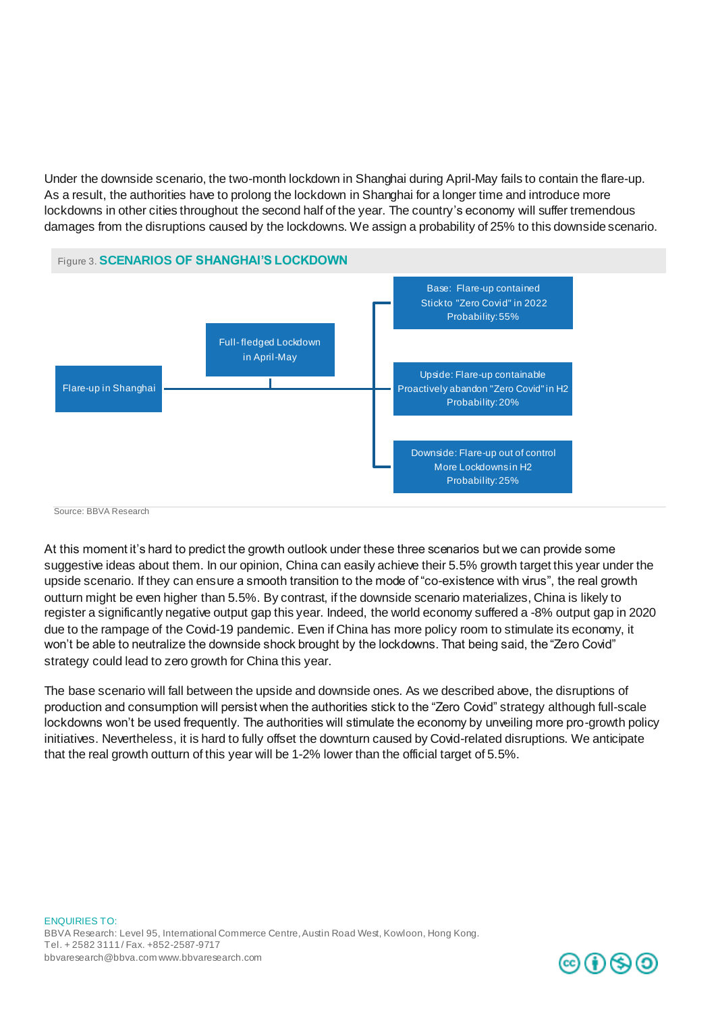Under the downside scenario, the two-month lockdown in Shanghai during April-May fails to contain the flare-up. As a result, the authorities have to prolong the lockdown in Shanghai for a longer time and introduce more lockdowns in other cities throughout the second half of the year. The country's economy will suffer tremendous damages from the disruptions caused by the lockdowns. We assign a probability of 25% to this downside scenario.



Source: BBVA Research

At this moment it's hard to predict the growth outlook under these three scenarios but we can provide some suggestive ideas about them. In our opinion, China can easily achieve their 5.5% growth target this year under the upside scenario. If they can ensure a smooth transition to the mode of "co-existence with virus", the real growth outturn might be even higher than 5.5%. By contrast, if the downside scenario materializes, China is likely to register a significantly negative output gap this year. Indeed, the world economy suffered a -8% output gap in 2020 due to the rampage of the Covid-19 pandemic. Even if China has more policy room to stimulate its economy, it won't be able to neutralize the downside shock brought by the lockdowns. That being said, the "Zero Covid" strategy could lead to zero growth for China this year.

The base scenario will fall between the upside and downside ones. As we described above, the disruptions of production and consumption will persist when the authorities stick to the "Zero Covid" strategy although full-scale lockdowns won't be used frequently. The authorities will stimulate the economy by unveiling more pro-growth policy initiatives. Nevertheless, it is hard to fully offset the downturn caused by Covid-related disruptions. We anticipate that the real growth outturn of this year will be 1-2% lower than the official target of 5.5%.

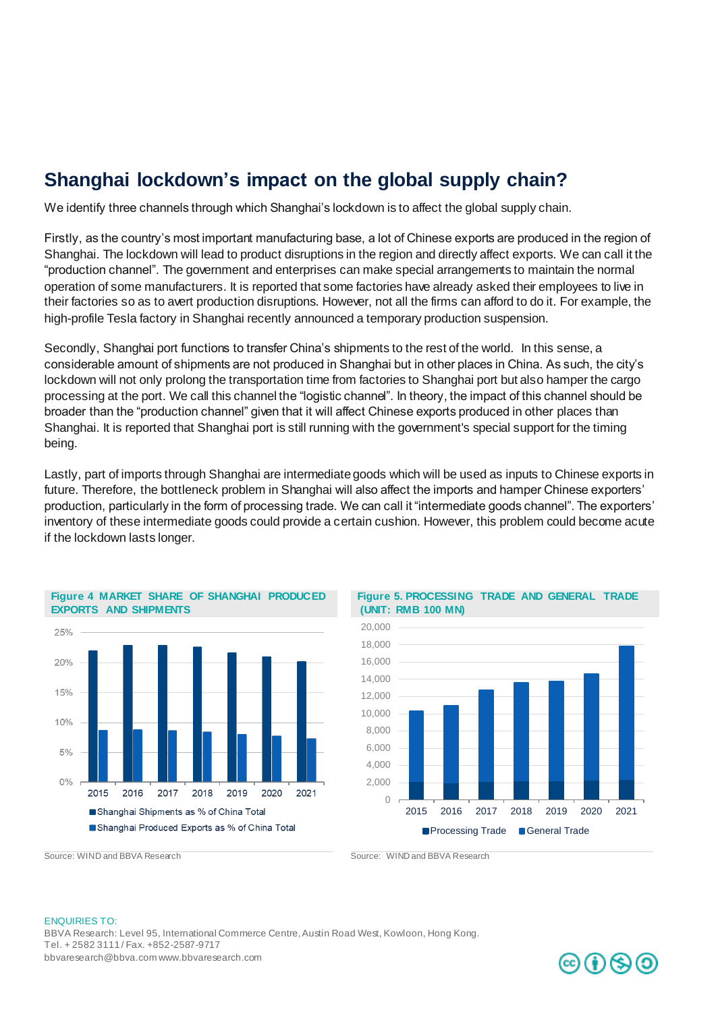## **Shanghai lockdown's impact on the global supply chain?**

We identify three channels through which Shanghai's lockdown is to affect the global supply chain.

Firstly, as the country's most important manufacturing base, a lot of Chinese exports are produced in the region of Shanghai. The lockdown will lead to product disruptions in the region and directly affect exports. We can call it the "production channel". The government and enterprises can make special arrangements to maintain the normal operation of some manufacturers. It is reported that some factories have already asked their employees to live in their factories so as to avert production disruptions. However, not all the firms can afford to do it. For example, the high-profile Tesla factory in Shanghai recently announced a temporary production suspension.

Secondly, Shanghai port functions to transfer China's shipments to the rest of the world. In this sense, a considerable amount of shipments are not produced in Shanghai but in other places in China. As such, the city's lockdown will not only prolong the transportation time from factories to Shanghai port but also hamper the cargo processing at the port. We call this channel the "logistic channel". In theory, the impact of this channel should be broader than the "production channel" given that it will affect Chinese exports produced in other places than Shanghai. It is reported that Shanghai port is still running with the government's special support for the timing being.

Lastly, part of imports through Shanghai are intermediate goods which will be used as inputs to Chinese exports in future. Therefore, the bottleneck problem in Shanghai will also affect the imports and hamper Chinese exporters' production, particularly in the form of processing trade. We can call it "intermediate goods channel". The exporters' inventory of these intermediate goods could provide a certain cushion. However, this problem could become acute if the lockdown lasts longer.



**Figure 4 MARKET SHARE OF SHANGHAI PRODUCED** 





Source: WIND and BBVA Research Source: WIND and BBVA Research

**EXPORTS AND SHIPMENTS** 

#### ENQUIRIES TO: BBVA Research: Level 95, International Commerce Centre, Austin Road West, Kowloon, Hong Kong. Tel. + 2582 3111 / Fax. +852-2587-9717 bbvaresearch@bbva.com www.bbvaresearch.com

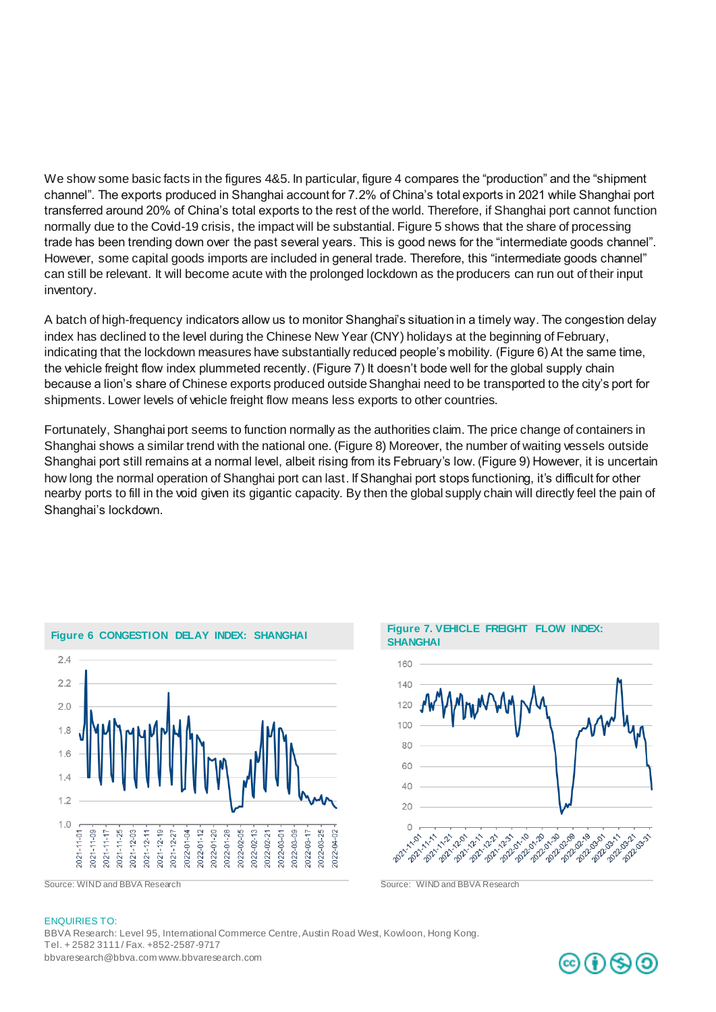We show some basic facts in the figures 4&5. In particular, figure 4 compares the "production" and the "shipment channel". The exports produced in Shanghai account for 7.2% of China's total exports in 2021 while Shanghai port transferred around 20% of China's total exports to the rest of the world. Therefore, if Shanghai port cannot function normally due to the Covid-19 crisis, the impact will be substantial. Figure 5 shows that the share of processing trade has been trending down over the past several years. This is good news for the "intermediate goods channel". However, some capital goods imports are included in general trade. Therefore, this "intermediate goods channel" can still be relevant. It will become acute with the prolonged lockdown as the producers can run out of their input inventory.

A batch of high-frequency indicators allow us to monitor Shanghai's situation in a timely way. The congestion delay index has declined to the level during the Chinese New Year (CNY) holidays at the beginning of February, indicating that the lockdown measures have substantially reduced people's mobility. (Figure 6) At the same time, the vehicle freight flow index plummeted recently. (Figure 7) It doesn't bode well for the global supply chain because a lion's share of Chinese exports produced outside Shanghai need to be transported to the city's port for shipments. Lower levels of vehicle freight flow means less exports to other countries.

Fortunately, Shanghai port seems to function normally as the authorities claim. The price change of containers in Shanghai shows a similar trend with the national one. (Figure 8) Moreover, the number of waiting vessels outside Shanghai port still remains at a normal level, albeit rising from its February's low. (Figure 9) However, it is uncertain how long the normal operation of Shanghai port can last. If Shanghai port stops functioning, it's difficult for other nearby ports to fill in the void given its gigantic capacity. By then the global supply chain will directly feel the pain of Shanghai's lockdown.







#### ENQUIRIES TO:

BBVA Research: Level 95, International Commerce Centre, Austin Road West, Kowloon, Hong Kong. Tel. + 2582 3111 / Fax. +852-2587-9717 bbvaresearch@bbva.com www.bbvaresearch.com

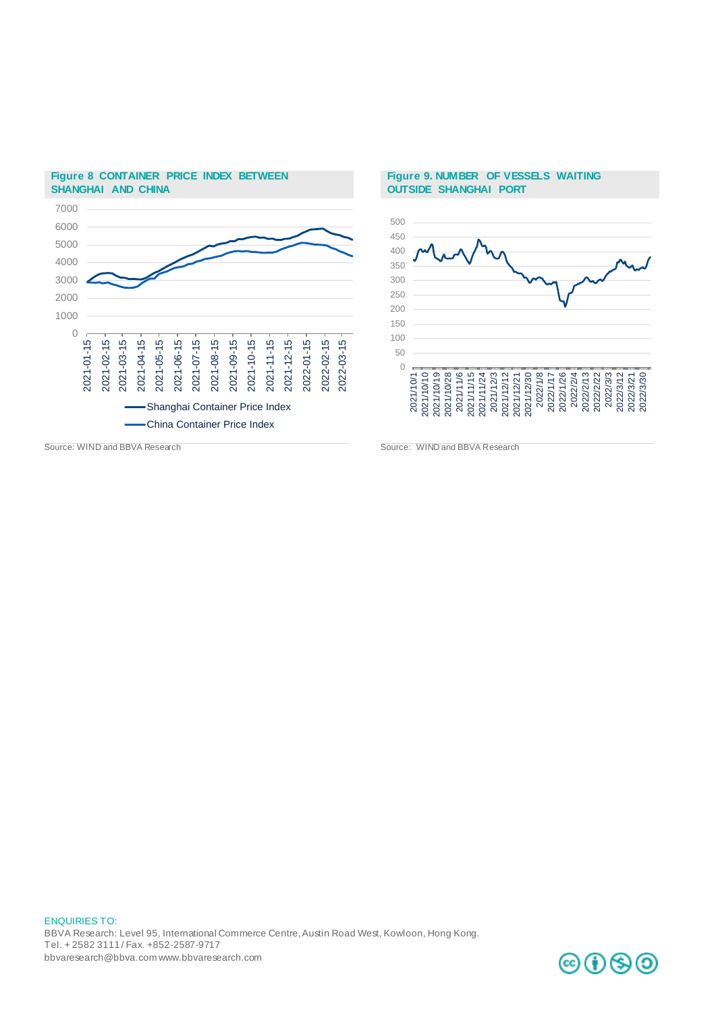

### **Figure 8 CONTAINER PRICE INDEX BETWEEN SHANGHAI AND CHINA**

#### **Figure 9. NUMBER OF VESSELS WAITING OUTSIDE SHANGHAI PORT**



Source: WIND and BBVA Research Source: WIND and BBVA Research